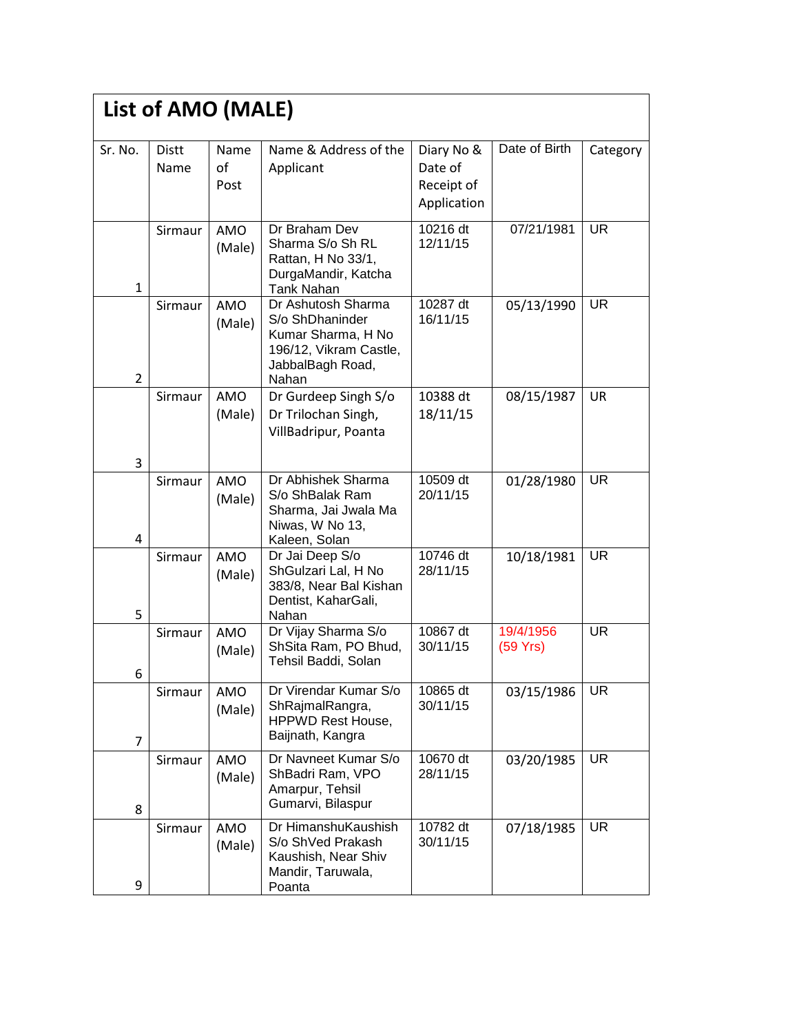|                | List of AMO (MALE)   |                      |                                                                                                                    |                                                    |                       |           |
|----------------|----------------------|----------------------|--------------------------------------------------------------------------------------------------------------------|----------------------------------------------------|-----------------------|-----------|
| Sr. No.        | <b>Distt</b><br>Name | Name<br>of<br>Post   | Name & Address of the<br>Applicant                                                                                 | Diary No &<br>Date of<br>Receipt of<br>Application | Date of Birth         | Category  |
| $\mathbf{1}$   | Sirmaur              | AMO<br>(Male)        | Dr Braham Dev<br>Sharma S/o Sh RL<br>Rattan, H No 33/1,<br>DurgaMandir, Katcha<br><b>Tank Nahan</b>                | 10216 dt<br>12/11/15                               | 07/21/1981            | <b>UR</b> |
| $\overline{2}$ | Sirmaur              | AMO<br>(Male)        | Dr Ashutosh Sharma<br>S/o ShDhaninder<br>Kumar Sharma, H No<br>196/12, Vikram Castle,<br>JabbalBagh Road,<br>Nahan | 10287 $\overline{dt}$<br>16/11/15                  | 05/13/1990            | <b>UR</b> |
| 3              | Sirmaur              | <b>AMO</b><br>(Male) | Dr Gurdeep Singh S/o<br>Dr Trilochan Singh,<br>VillBadripur, Poanta                                                | 10388 dt<br>18/11/15                               | 08/15/1987            | <b>UR</b> |
| 4              | Sirmaur              | <b>AMO</b><br>(Male) | Dr Abhishek Sharma<br>S/o ShBalak Ram<br>Sharma, Jai Jwala Ma<br>Niwas, W No 13,<br>Kaleen, Solan                  | 10509 dt<br>20/11/15                               | 01/28/1980            | <b>UR</b> |
| 5              | Sirmaur              | AMO<br>(Male)        | Dr Jai Deep S/o<br>ShGulzari Lal, H No<br>383/8, Near Bal Kishan<br>Dentist, KaharGali,<br>Nahan                   | 10746 dt<br>28/11/15                               | 10/18/1981            | <b>UR</b> |
| 6              | Sirmaur              | <b>AMO</b><br>(Male) | Dr Vijay Sharma S/o<br>ShSita Ram, PO Bhud,<br>Tehsil Baddi, Solan                                                 | 10867 dt<br>30/11/15                               | 19/4/1956<br>(59 Yrs) | <b>UR</b> |
| $\overline{7}$ | Sirmaur              | AMO<br>(Male)        | Dr Virendar Kumar S/o<br>ShRajmalRangra,<br><b>HPPWD Rest House,</b><br>Baijnath, Kangra                           | 10865 dt<br>30/11/15                               | 03/15/1986            | <b>UR</b> |
| 8              | Sirmaur              | AMO<br>(Male)        | Dr Navneet Kumar S/o<br>ShBadri Ram, VPO<br>Amarpur, Tehsil<br>Gumarvi, Bilaspur                                   | 10670 dt<br>28/11/15                               | 03/20/1985            | <b>UR</b> |
| 9              | Sirmaur              | AMO<br>(Male)        | Dr HimanshuKaushish<br>S/o ShVed Prakash<br>Kaushish, Near Shiv<br>Mandir, Taruwala,<br>Poanta                     | 10782 dt<br>30/11/15                               | 07/18/1985            | <b>UR</b> |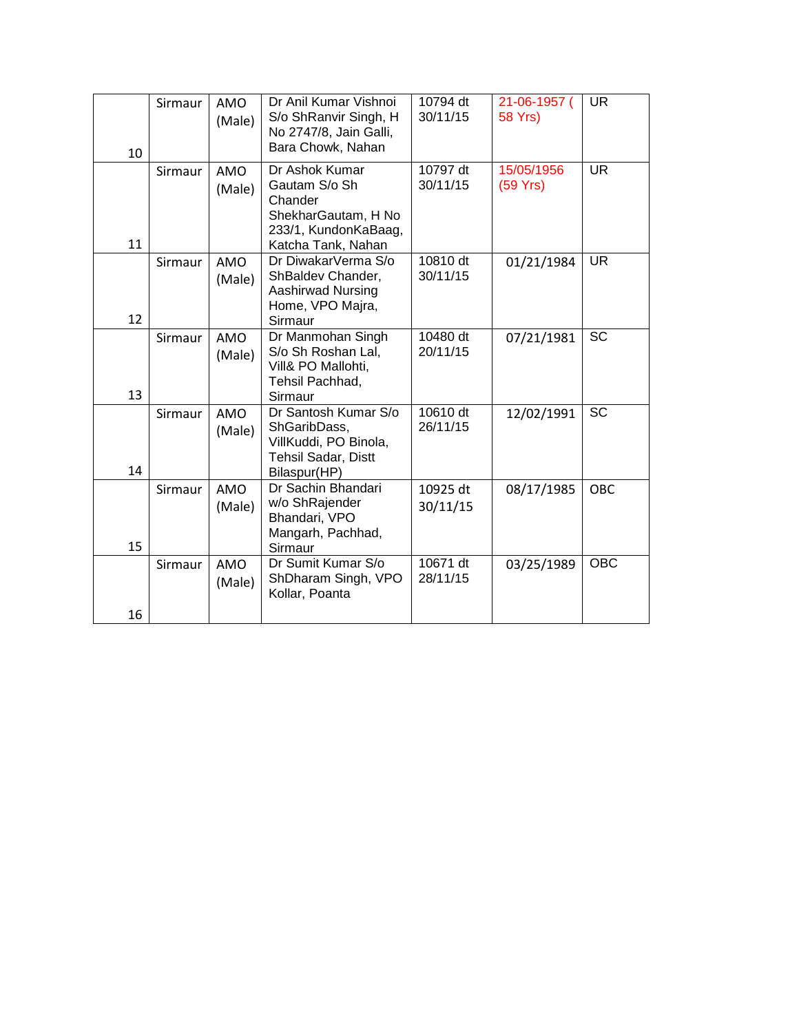|    | Sirmaur | AMO<br>(Male)        | Dr Anil Kumar Vishnoi<br>S/o ShRanvir Singh, H<br>No 2747/8, Jain Galli,                                           | 10794 dt<br>30/11/15 | 21-06-1957 (<br><b>58 Yrs)</b> | <b>UR</b>  |
|----|---------|----------------------|--------------------------------------------------------------------------------------------------------------------|----------------------|--------------------------------|------------|
| 10 |         |                      | Bara Chowk, Nahan                                                                                                  |                      |                                |            |
| 11 | Sirmaur | <b>AMO</b><br>(Male) | Dr Ashok Kumar<br>Gautam S/o Sh<br>Chander<br>ShekharGautam, H No<br>233/1, KundonKaBaag,                          | 10797 dt<br>30/11/15 | 15/05/1956<br>(59 Yrs)         | <b>UR</b>  |
| 12 | Sirmaur | <b>AMO</b><br>(Male) | Katcha Tank, Nahan<br>Dr DiwakarVerma S/o<br>ShBaldev Chander,<br>Aashirwad Nursing<br>Home, VPO Majra,<br>Sirmaur | 10810 dt<br>30/11/15 | 01/21/1984                     | UR.        |
| 13 | Sirmaur | AMO<br>(Male)        | Dr Manmohan Singh<br>S/o Sh Roshan Lal,<br>Vill& PO Mallohti,<br>Tehsil Pachhad,<br>Sirmaur                        | 10480 dt<br>20/11/15 | 07/21/1981                     | <b>SC</b>  |
| 14 | Sirmaur | <b>AMO</b><br>(Male) | Dr Santosh Kumar S/o<br>ShGaribDass,<br>VillKuddi, PO Binola,<br>Tehsil Sadar, Distt<br>Bilaspur(HP)               | 10610 dt<br>26/11/15 | 12/02/1991                     | <b>SC</b>  |
| 15 | Sirmaur | <b>AMO</b><br>(Male) | Dr Sachin Bhandari<br>w/o ShRajender<br>Bhandari, VPO<br>Mangarh, Pachhad,<br>Sirmaur                              | 10925 dt<br>30/11/15 | 08/17/1985                     | <b>OBC</b> |
| 16 | Sirmaur | AMO<br>(Male)        | Dr Sumit Kumar S/o<br>ShDharam Singh, VPO<br>Kollar, Poanta                                                        | 10671 dt<br>28/11/15 | 03/25/1989                     | <b>OBC</b> |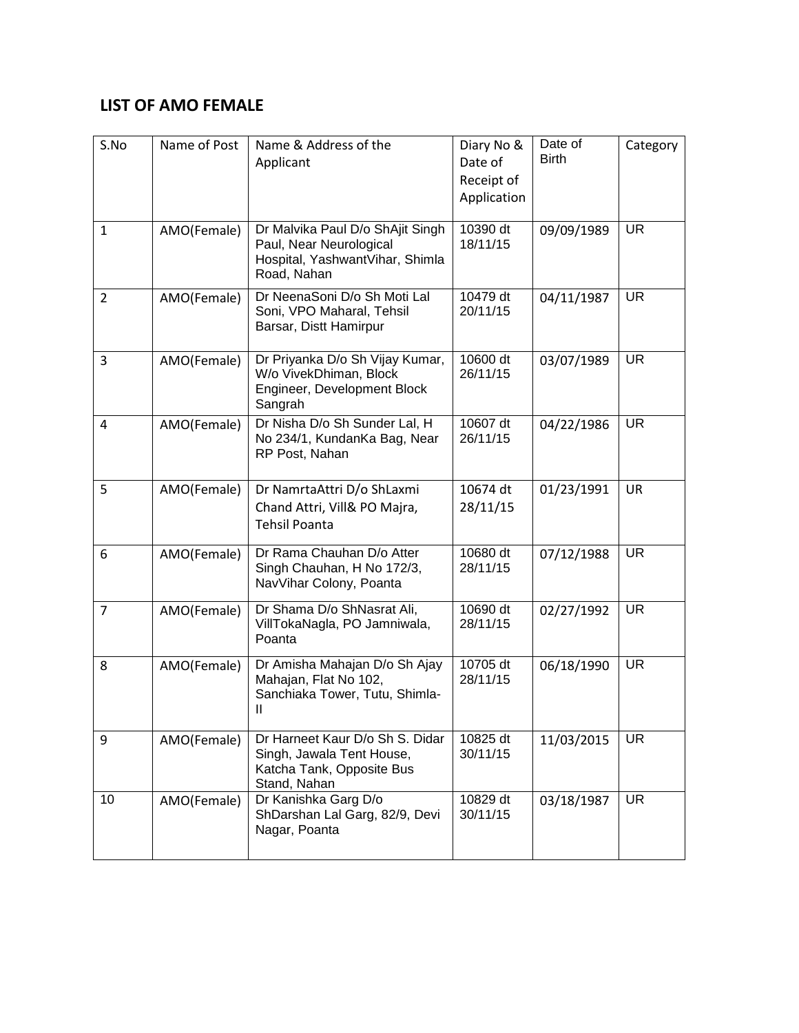#### **LIST OF AMO FEMALE**

| S.No           | Name of Post | Name & Address of the<br>Applicant                                                                            | Diary No &<br>Date of<br>Receipt of<br>Application | Date of<br><b>Birth</b> | Category  |
|----------------|--------------|---------------------------------------------------------------------------------------------------------------|----------------------------------------------------|-------------------------|-----------|
| $\mathbf{1}$   | AMO(Female)  | Dr Malvika Paul D/o ShAjit Singh<br>Paul, Near Neurological<br>Hospital, YashwantVihar, Shimla<br>Road, Nahan | 10390 dt<br>18/11/15                               | 09/09/1989              | <b>UR</b> |
| $\overline{2}$ | AMO(Female)  | Dr NeenaSoni D/o Sh Moti Lal<br>Soni, VPO Maharal, Tehsil<br>Barsar, Distt Hamirpur                           | 10479 dt<br>20/11/15                               | 04/11/1987              | <b>UR</b> |
| 3              | AMO(Female)  | Dr Priyanka D/o Sh Vijay Kumar,<br>W/o VivekDhiman, Block<br>Engineer, Development Block<br>Sangrah           | 10600 dt<br>26/11/15                               | 03/07/1989              | <b>UR</b> |
| $\overline{4}$ | AMO(Female)  | Dr Nisha D/o Sh Sunder Lal, H<br>No 234/1, KundanKa Bag, Near<br>RP Post, Nahan                               | 10607 dt<br>26/11/15                               | 04/22/1986              | <b>UR</b> |
| 5              | AMO(Female)  | Dr NamrtaAttri D/o ShLaxmi<br>Chand Attri, Vill& PO Majra,<br><b>Tehsil Poanta</b>                            | 10674 dt<br>28/11/15                               | 01/23/1991              | UR        |
| 6              | AMO(Female)  | Dr Rama Chauhan D/o Atter<br>Singh Chauhan, H No 172/3,<br>NavVihar Colony, Poanta                            | 10680 dt<br>28/11/15                               | 07/12/1988              | <b>UR</b> |
| $\overline{7}$ | AMO(Female)  | Dr Shama D/o ShNasrat Ali,<br>VillTokaNagla, PO Jamniwala,<br>Poanta                                          | 10690 dt<br>28/11/15                               | 02/27/1992              | <b>UR</b> |
| 8              | AMO(Female)  | Dr Amisha Mahajan D/o Sh Ajay<br>Mahajan, Flat No 102,<br>Sanchiaka Tower, Tutu, Shimla-<br>Ш                 | 10705 dt<br>28/11/15                               | 06/18/1990              | <b>UR</b> |
| 9              | AMO(Female)  | Dr Harneet Kaur D/o Sh S. Didar<br>Singh, Jawala Tent House,<br>Katcha Tank, Opposite Bus<br>Stand, Nahan     | 10825 dt<br>30/11/15                               | 11/03/2015              | <b>UR</b> |
| 10             | AMO(Female)  | Dr Kanishka Garg D/o<br>ShDarshan Lal Garg, 82/9, Devi<br>Nagar, Poanta                                       | 10829 dt<br>30/11/15                               | 03/18/1987              | <b>UR</b> |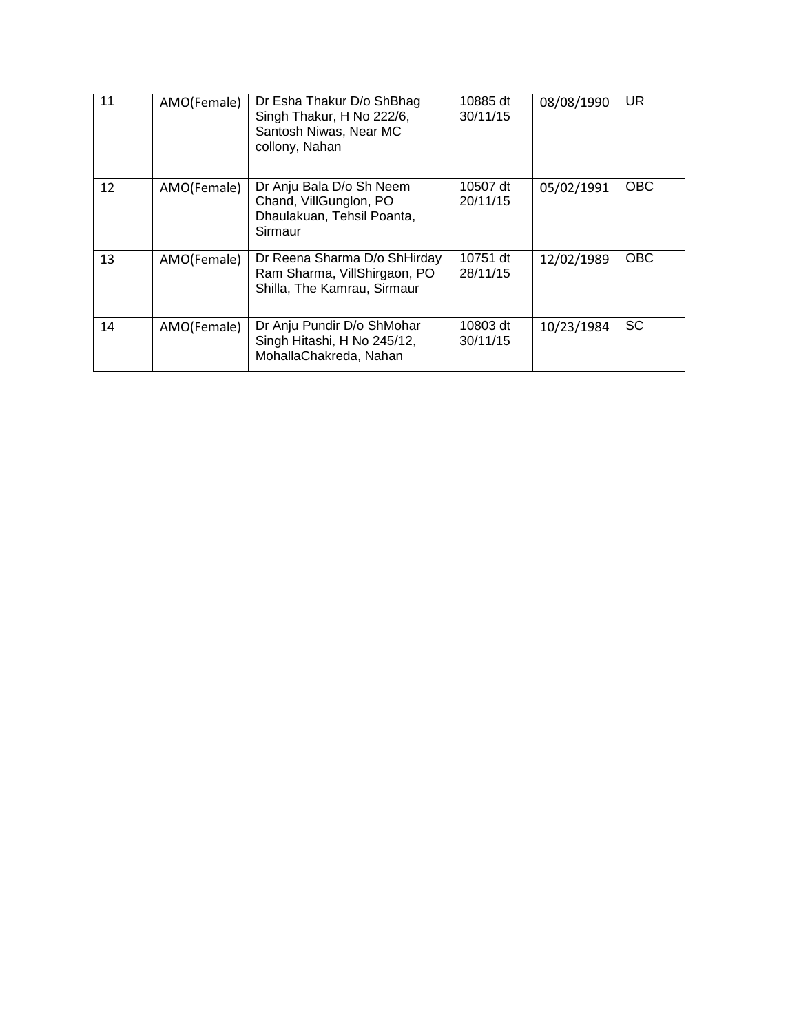| 11 | AMO(Female) | Dr Esha Thakur D/o ShBhag<br>Singh Thakur, H No 222/6,<br>Santosh Niwas, Near MC<br>collony, Nahan | 10885 dt<br>30/11/15 | 08/08/1990 | <b>UR</b>  |
|----|-------------|----------------------------------------------------------------------------------------------------|----------------------|------------|------------|
| 12 | AMO(Female) | Dr Anju Bala D/o Sh Neem<br>Chand, VillGunglon, PO<br>Dhaulakuan, Tehsil Poanta,<br>Sirmaur        | 10507 dt<br>20/11/15 | 05/02/1991 | <b>OBC</b> |
| 13 | AMO(Female) | Dr Reena Sharma D/o ShHirday<br>Ram Sharma, VillShirgaon, PO<br>Shilla, The Kamrau, Sirmaur        | 10751 dt<br>28/11/15 | 12/02/1989 | <b>OBC</b> |
| 14 | AMO(Female) | Dr Anju Pundir D/o ShMohar<br>Singh Hitashi, H No 245/12,<br>MohallaChakreda, Nahan                | 10803 dt<br>30/11/15 | 10/23/1984 | <b>SC</b>  |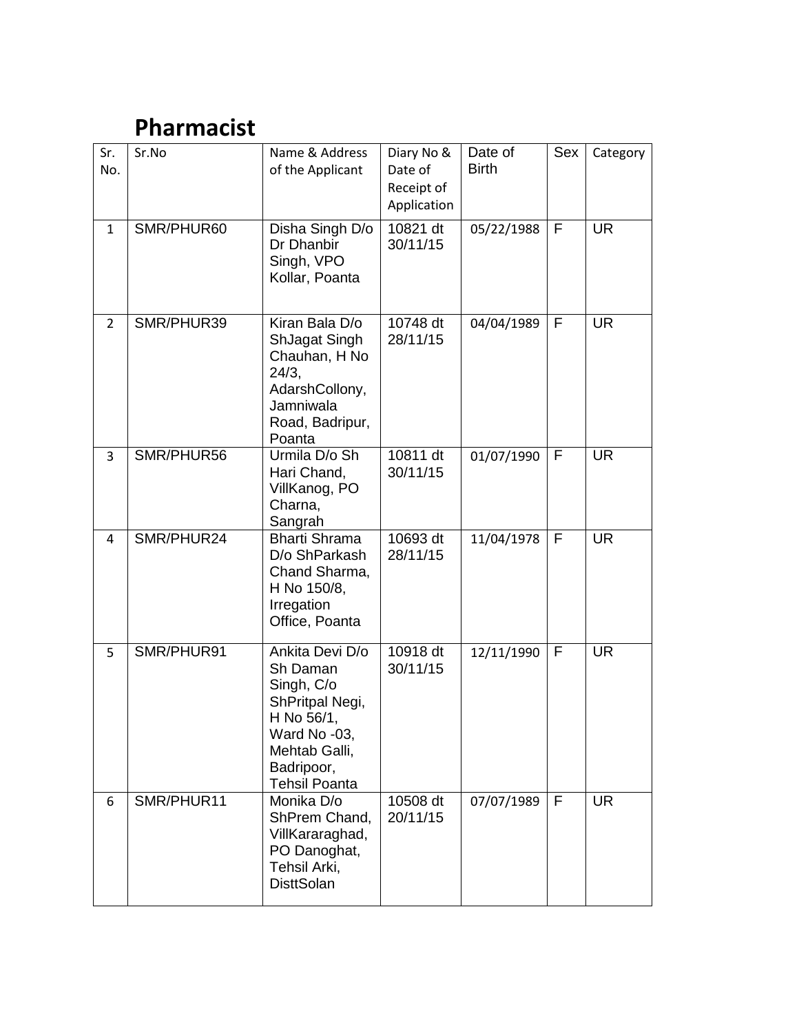# **Pharmacist**

| Sr.<br>No.     | Sr.No      | Name & Address<br>of the Applicant                                                                                                                | Diary No &<br>Date of<br>Receipt of<br>Application | Date of<br><b>Birth</b> | Sex         | Category  |
|----------------|------------|---------------------------------------------------------------------------------------------------------------------------------------------------|----------------------------------------------------|-------------------------|-------------|-----------|
| $\mathbf{1}$   | SMR/PHUR60 | Disha Singh D/o<br>Dr Dhanbir<br>Singh, VPO<br>Kollar, Poanta                                                                                     | 10821 dt<br>30/11/15                               | 05/22/1988              | F           | <b>UR</b> |
| $\overline{2}$ | SMR/PHUR39 | Kiran Bala D/o<br>ShJagat Singh<br>Chauhan, H No<br>24/3,<br>AdarshCollony,<br>Jamniwala<br>Road, Badripur,<br>Poanta                             | 10748 dt<br>28/11/15                               | 04/04/1989              | $\mathsf F$ | <b>UR</b> |
| 3              | SMR/PHUR56 | Urmila D/o Sh<br>Hari Chand,<br>VillKanog, PO<br>Charna,<br>Sangrah                                                                               | 10811 dt<br>30/11/15                               | 01/07/1990              | $\mathsf F$ | <b>UR</b> |
| 4              | SMR/PHUR24 | <b>Bharti Shrama</b><br>D/o ShParkash<br>Chand Sharma,<br>H No 150/8,<br>Irregation<br>Office, Poanta                                             | 10693 dt<br>28/11/15                               | 11/04/1978              | F           | <b>UR</b> |
| 5              | SMR/PHUR91 | Ankita Devi D/o<br>Sh Daman<br>Singh, C/o<br>ShPritpal Negi,<br>H No 56/1,<br>Ward No -03,<br>Mehtab Galli,<br>Badripoor,<br><b>Tehsil Poanta</b> | 10918 dt<br>30/11/15                               | 12/11/1990              | F           | <b>UR</b> |
| 6              | SMR/PHUR11 | Monika D/o<br>ShPrem Chand,<br>VillKararaghad,<br>PO Danoghat,<br>Tehsil Arki,<br><b>DisttSolan</b>                                               | 10508 dt<br>20/11/15                               | 07/07/1989              | F           | <b>UR</b> |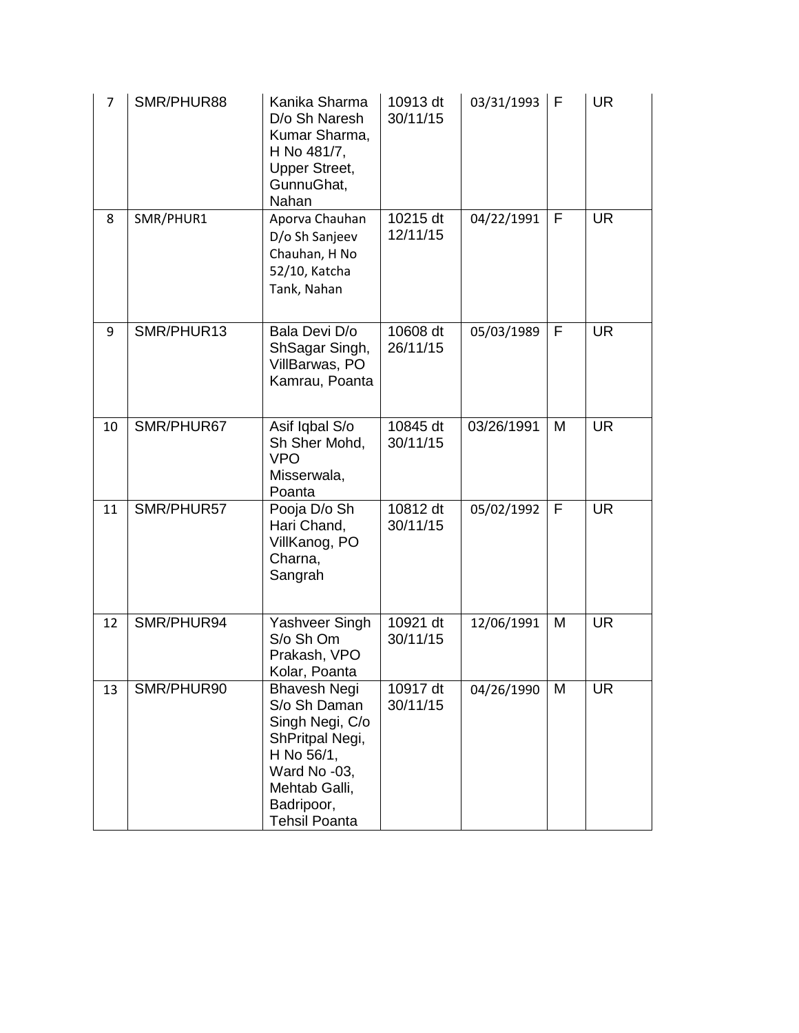| $\overline{7}$ | SMR/PHUR88 | Kanika Sharma<br>D/o Sh Naresh<br>Kumar Sharma,<br>H No 481/7,<br><b>Upper Street,</b><br>GunnuGhat,<br>Nahan                                                  | 10913 dt<br>30/11/15 | 03/31/1993 | F | <b>UR</b> |
|----------------|------------|----------------------------------------------------------------------------------------------------------------------------------------------------------------|----------------------|------------|---|-----------|
| 8              | SMR/PHUR1  | Aporva Chauhan<br>D/o Sh Sanjeev<br>Chauhan, H No<br>52/10, Katcha<br>Tank, Nahan                                                                              | 10215 dt<br>12/11/15 | 04/22/1991 | F | <b>UR</b> |
| 9              | SMR/PHUR13 | Bala Devi D/o<br>ShSagar Singh,<br>VillBarwas, PO<br>Kamrau, Poanta                                                                                            | 10608 dt<br>26/11/15 | 05/03/1989 | F | <b>UR</b> |
| 10             | SMR/PHUR67 | Asif Iqbal S/o<br>Sh Sher Mohd,<br><b>VPO</b><br>Misserwala,<br>Poanta                                                                                         | 10845 dt<br>30/11/15 | 03/26/1991 | M | <b>UR</b> |
| 11             | SMR/PHUR57 | Pooja D/o Sh<br>Hari Chand,<br>VillKanog, PO<br>Charna,<br>Sangrah                                                                                             | 10812 dt<br>30/11/15 | 05/02/1992 | F | <b>UR</b> |
| 12             | SMR/PHUR94 | Yashveer Singh<br>S/o Sh Om<br>Prakash, VPO<br>Kolar, Poanta                                                                                                   | 10921 dt<br>30/11/15 | 12/06/1991 | M | <b>UR</b> |
| 13             | SMR/PHUR90 | <b>Bhavesh Negi</b><br>S/o Sh Daman<br>Singh Negi, C/o<br>ShPritpal Negi,<br>H No 56/1,<br>Ward No -03,<br>Mehtab Galli,<br>Badripoor,<br><b>Tehsil Poanta</b> | 10917 dt<br>30/11/15 | 04/26/1990 | M | <b>UR</b> |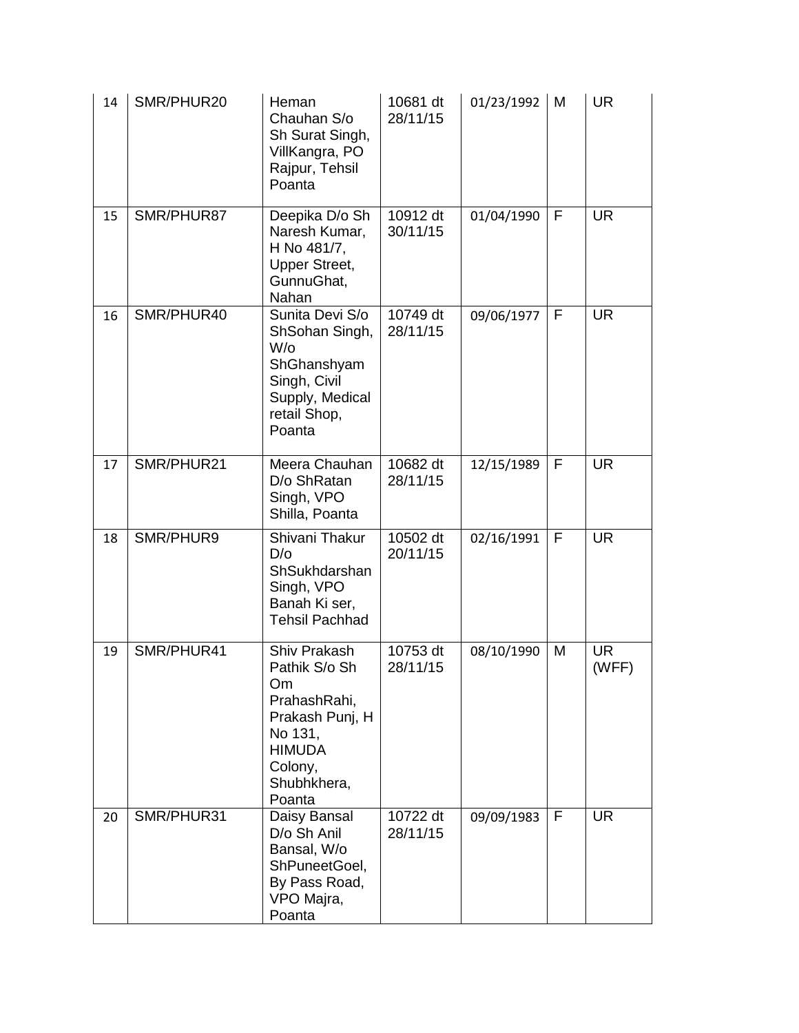| 14 | SMR/PHUR20 | Heman<br>Chauhan S/o<br>Sh Surat Singh,<br>VillKangra, PO<br>Rajpur, Tehsil<br>Poanta                                                  | 10681 dt<br>28/11/15 | 01/23/1992 | M            | <b>UR</b>          |
|----|------------|----------------------------------------------------------------------------------------------------------------------------------------|----------------------|------------|--------------|--------------------|
| 15 | SMR/PHUR87 | Deepika D/o Sh<br>Naresh Kumar,<br>H No 481/7,<br><b>Upper Street,</b><br>GunnuGhat,<br>Nahan                                          | 10912 dt<br>30/11/15 | 01/04/1990 | F            | <b>UR</b>          |
| 16 | SMR/PHUR40 | Sunita Devi S/o<br>ShSohan Singh,<br>$W$ /o<br>ShGhanshyam<br>Singh, Civil<br>Supply, Medical<br>retail Shop,<br>Poanta                | 10749 dt<br>28/11/15 | 09/06/1977 | F            | <b>UR</b>          |
| 17 | SMR/PHUR21 | Meera Chauhan<br>D/o ShRatan<br>Singh, VPO<br>Shilla, Poanta                                                                           | 10682 dt<br>28/11/15 | 12/15/1989 | $\mathsf{F}$ | <b>UR</b>          |
| 18 | SMR/PHUR9  | Shivani Thakur<br>D/O<br>ShSukhdarshan<br>Singh, VPO<br>Banah Ki ser,<br><b>Tehsil Pachhad</b>                                         | 10502 dt<br>20/11/15 | 02/16/1991 | F            | <b>UR</b>          |
| 19 | SMR/PHUR41 | Shiv Prakash<br>Pathik S/o Sh<br>Om<br>PrahashRahi,<br>Prakash Punj, H<br>No 131,<br><b>HIMUDA</b><br>Colony,<br>Shubhkhera,<br>Poanta | 10753 dt<br>28/11/15 | 08/10/1990 | M            | <b>UR</b><br>(WFF) |
| 20 | SMR/PHUR31 | Daisy Bansal<br>D/o Sh Anil<br>Bansal, W/o<br>ShPuneetGoel,<br>By Pass Road,<br>VPO Majra,<br>Poanta                                   | 10722 dt<br>28/11/15 | 09/09/1983 | F            | <b>UR</b>          |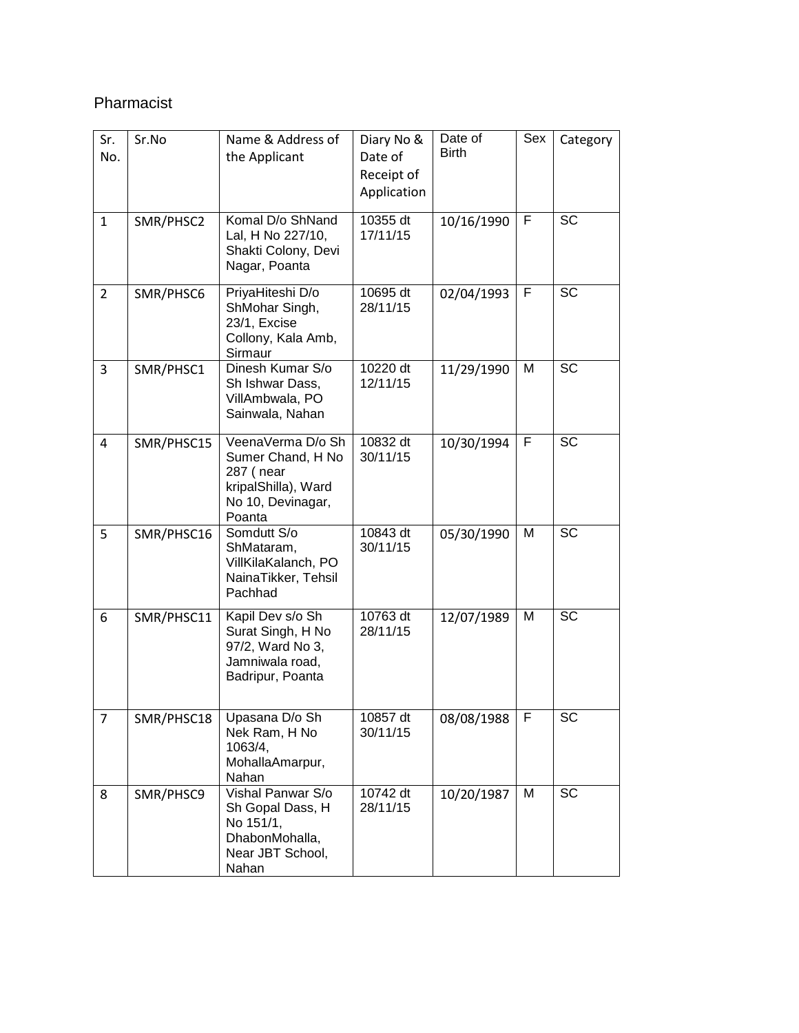#### Pharmacist

| Sr.<br>No.   | Sr.No      | Name & Address of<br>the Applicant                                                                        | Diary No &<br>Date of<br>Receipt of<br>Application | Date of<br><b>Birth</b> | Sex | Category  |
|--------------|------------|-----------------------------------------------------------------------------------------------------------|----------------------------------------------------|-------------------------|-----|-----------|
| $\mathbf{1}$ | SMR/PHSC2  | Komal D/o ShNand<br>Lal, H No 227/10,<br>Shakti Colony, Devi<br>Nagar, Poanta                             | 10355 dt<br>17/11/15                               | 10/16/1990              | F   | <b>SC</b> |
| 2            | SMR/PHSC6  | PriyaHiteshi D/o<br>ShMohar Singh,<br>23/1, Excise<br>Collony, Kala Amb,<br>Sirmaur                       | 10695 dt<br>28/11/15                               | 02/04/1993              | F   | <b>SC</b> |
| 3            | SMR/PHSC1  | Dinesh Kumar S/o<br>Sh Ishwar Dass,<br>VillAmbwala, PO<br>Sainwala, Nahan                                 | 10220 dt<br>12/11/15                               | 11/29/1990              | M   | <b>SC</b> |
| 4            | SMR/PHSC15 | VeenaVerma D/o Sh<br>Sumer Chand, H No<br>287 (near<br>kripalShilla), Ward<br>No 10, Devinagar,<br>Poanta | 10832 dt<br>30/11/15                               | 10/30/1994              | F   | <b>SC</b> |
| 5            | SMR/PHSC16 | Somdutt S/o<br>ShMataram,<br>VillKilaKalanch, PO<br>NainaTikker, Tehsil<br>Pachhad                        | 10843 dt<br>30/11/15                               | 05/30/1990              | M   | <b>SC</b> |
| 6            | SMR/PHSC11 | Kapil Dev s/o Sh<br>Surat Singh, H No<br>97/2, Ward No 3,<br>Jamniwala road,<br>Badripur, Poanta          | 10763 dt<br>28/11/15                               | 12/07/1989              | M   | <b>SC</b> |
| 7            | SMR/PHSC18 | Upasana D/o Sh<br>Nek Ram, H No<br>1063/4,<br>MohallaAmarpur,<br>Nahan                                    | 10857 dt<br>30/11/15                               | 08/08/1988              | F   | SC        |
| 8            | SMR/PHSC9  | Vishal Panwar S/o<br>Sh Gopal Dass, H<br>No 151/1,<br>DhabonMohalla,<br>Near JBT School,<br>Nahan         | 10742 dt<br>28/11/15                               | 10/20/1987              | M   | SC        |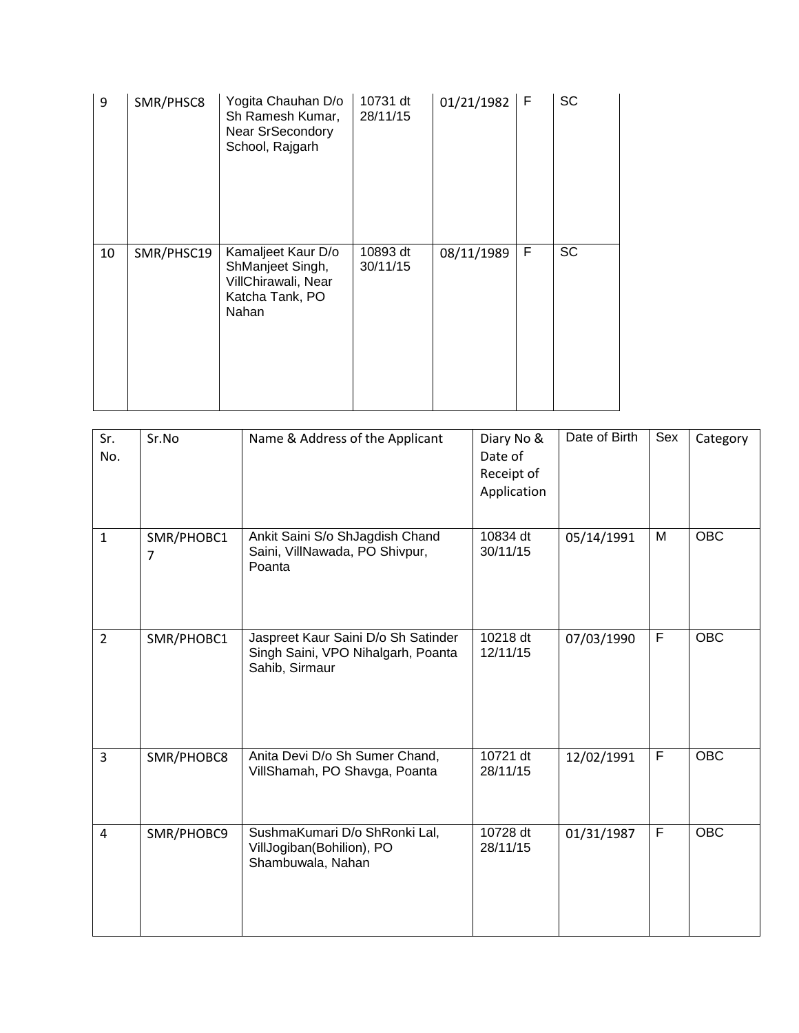| 9  | SMR/PHSC8  | Yogita Chauhan D/o<br>Sh Ramesh Kumar,<br><b>Near SrSecondory</b><br>School, Rajgarh      | 10731 dt<br>28/11/15 | 01/21/1982 | $\mathsf{F}$ | <b>SC</b> |
|----|------------|-------------------------------------------------------------------------------------------|----------------------|------------|--------------|-----------|
| 10 | SMR/PHSC19 | Kamaljeet Kaur D/o<br>ShManjeet Singh,<br>VillChirawali, Near<br>Katcha Tank, PO<br>Nahan | 10893 dt<br>30/11/15 | 08/11/1989 | F            | <b>SC</b> |

| Sr.<br>No.     | Sr.No           | Name & Address of the Applicant                                                             | Diary No &<br>Date of<br>Receipt of<br>Application | Date of Birth | Sex | Category   |
|----------------|-----------------|---------------------------------------------------------------------------------------------|----------------------------------------------------|---------------|-----|------------|
| $\mathbf{1}$   | SMR/PHOBC1<br>7 | Ankit Saini S/o ShJagdish Chand<br>Saini, VillNawada, PO Shivpur,<br>Poanta                 | 10834 dt<br>30/11/15                               | 05/14/1991    | M   | <b>OBC</b> |
| $\overline{2}$ | SMR/PHOBC1      | Jaspreet Kaur Saini D/o Sh Satinder<br>Singh Saini, VPO Nihalgarh, Poanta<br>Sahib, Sirmaur | 10218 dt<br>12/11/15                               | 07/03/1990    | F   | <b>OBC</b> |
| $\overline{3}$ | SMR/PHOBC8      | Anita Devi D/o Sh Sumer Chand,<br>VillShamah, PO Shavga, Poanta                             | 10721 dt<br>28/11/15                               | 12/02/1991    | F   | <b>OBC</b> |
| $\overline{4}$ | SMR/PHOBC9      | SushmaKumari D/o ShRonki Lal,<br>VillJogiban(Bohilion), PO<br>Shambuwala, Nahan             | 10728 dt<br>28/11/15                               | 01/31/1987    | F   | <b>OBC</b> |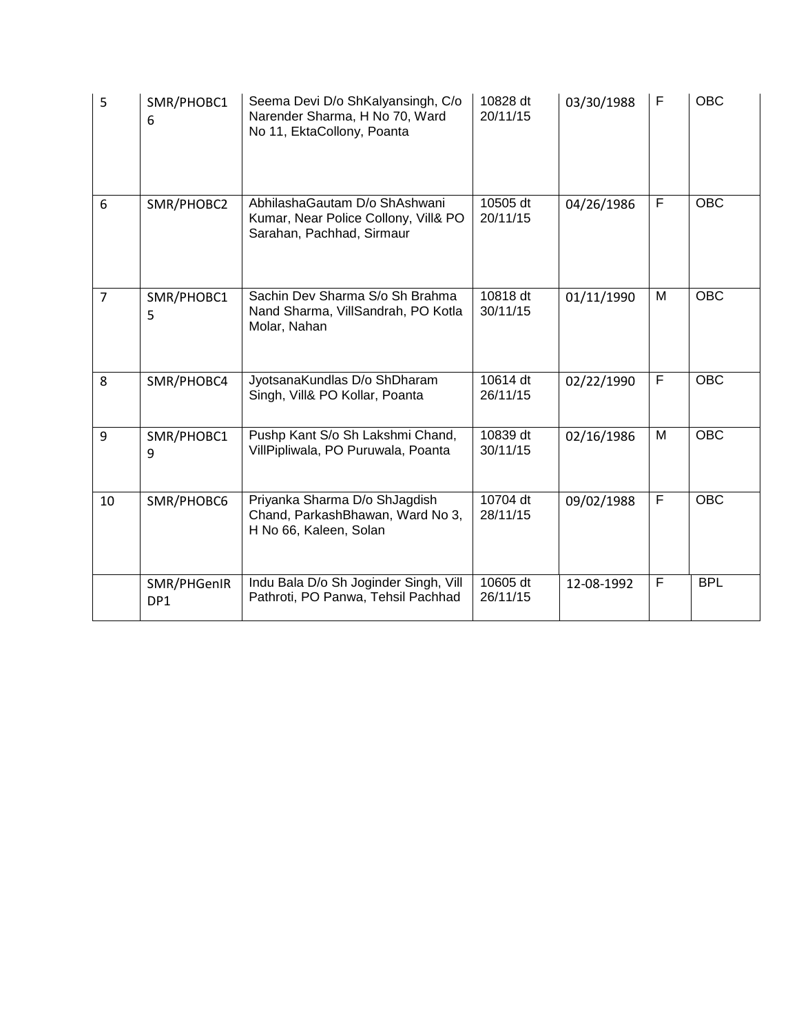| 5              | SMR/PHOBC1<br>6    | Seema Devi D/o ShKalyansingh, C/o<br>Narender Sharma, H No 70, Ward<br>No 11, EktaCollony, Poanta  | 10828 dt<br>20/11/15 | 03/30/1988 | F | <b>OBC</b> |
|----------------|--------------------|----------------------------------------------------------------------------------------------------|----------------------|------------|---|------------|
| 6              | SMR/PHOBC2         | AbhilashaGautam D/o ShAshwani<br>Kumar, Near Police Collony, Vill& PO<br>Sarahan, Pachhad, Sirmaur | 10505 dt<br>20/11/15 | 04/26/1986 | F | <b>OBC</b> |
| $\overline{7}$ | SMR/PHOBC1<br>5    | Sachin Dev Sharma S/o Sh Brahma<br>Nand Sharma, VillSandrah, PO Kotla<br>Molar, Nahan              | 10818 dt<br>30/11/15 | 01/11/1990 | M | <b>OBC</b> |
| 8              | SMR/PHOBC4         | JyotsanaKundlas D/o ShDharam<br>Singh, Vill& PO Kollar, Poanta                                     | 10614 dt<br>26/11/15 | 02/22/1990 | F | <b>OBC</b> |
| 9              | SMR/PHOBC1<br>9    | Pushp Kant S/o Sh Lakshmi Chand,<br>VillPipliwala, PO Puruwala, Poanta                             | 10839 dt<br>30/11/15 | 02/16/1986 | M | <b>OBC</b> |
| 10             | SMR/PHOBC6         | Priyanka Sharma D/o ShJagdish<br>Chand, ParkashBhawan, Ward No 3,<br>H No 66, Kaleen, Solan        | 10704 dt<br>28/11/15 | 09/02/1988 | F | <b>OBC</b> |
|                | SMR/PHGenIR<br>DP1 | Indu Bala D/o Sh Joginder Singh, Vill<br>Pathroti, PO Panwa, Tehsil Pachhad                        | 10605 dt<br>26/11/15 | 12-08-1992 | F | <b>BPL</b> |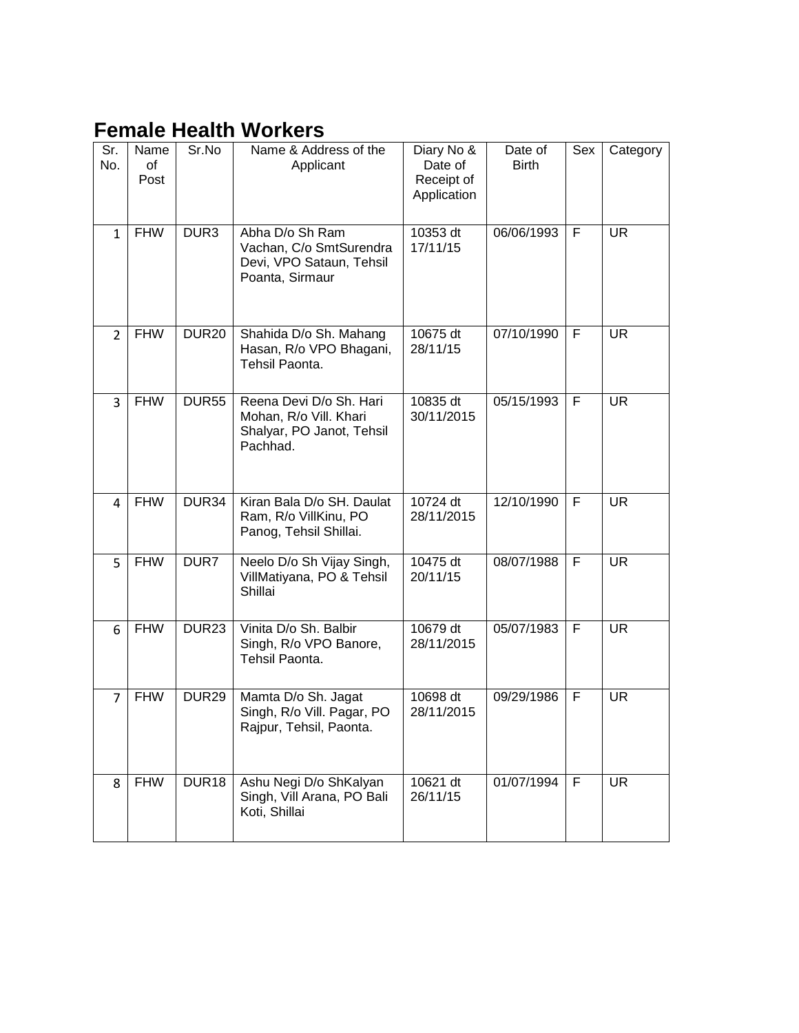## **Female Health Workers**

| Sr.<br>No.     | Name<br>of<br>Post | Sr.No             | Name & Address of the<br>Applicant                                                         | Diary No &<br>Date of<br>Receipt of<br>Application | Date of<br><b>Birth</b> | Sex | Category  |
|----------------|--------------------|-------------------|--------------------------------------------------------------------------------------------|----------------------------------------------------|-------------------------|-----|-----------|
| $\mathbf{1}$   | <b>FHW</b>         | DUR <sub>3</sub>  | Abha D/o Sh Ram<br>Vachan, C/o SmtSurendra<br>Devi, VPO Sataun, Tehsil<br>Poanta, Sirmaur  | 10353 dt<br>17/11/15                               | 06/06/1993              | F   | <b>UR</b> |
| $\overline{2}$ | <b>FHW</b>         | <b>DUR20</b>      | Shahida D/o Sh. Mahang<br>Hasan, R/o VPO Bhagani,<br>Tehsil Paonta.                        | 10675 dt<br>28/11/15                               | 07/10/1990              | F   | <b>UR</b> |
| 3              | <b>FHW</b>         | <b>DUR55</b>      | Reena Devi D/o Sh. Hari<br>Mohan, R/o Vill. Khari<br>Shalyar, PO Janot, Tehsil<br>Pachhad. | 10835 dt<br>30/11/2015                             | 05/15/1993              | F   | <b>UR</b> |
| $\overline{4}$ | <b>FHW</b>         | DUR34             | Kiran Bala D/o SH. Daulat<br>Ram, R/o VillKinu, PO<br>Panog, Tehsil Shillai.               | 10724 dt<br>28/11/2015                             | 12/10/1990              | F   | <b>UR</b> |
| 5              | <b>FHW</b>         | DUR7              | Neelo D/o Sh Vijay Singh,<br>VillMatiyana, PO & Tehsil<br>Shillai                          | 10475 dt<br>20/11/15                               | 08/07/1988              | F   | <b>UR</b> |
| 6              | <b>FHW</b>         | DUR <sub>23</sub> | Vinita D/o Sh. Balbir<br>Singh, R/o VPO Banore,<br>Tehsil Paonta.                          | 10679 dt<br>28/11/2015                             | 05/07/1983              | F   | <b>UR</b> |
| $\overline{7}$ | <b>FHW</b>         | DUR <sub>29</sub> | Mamta D/o Sh. Jagat<br>Singh, R/o Vill. Pagar, PO<br>Rajpur, Tehsil, Paonta.               | 10698 dt<br>28/11/2015                             | 09/29/1986              | F   | UR.       |
| 8              | <b>FHW</b>         | DUR <sub>18</sub> | Ashu Negi D/o ShKalyan<br>Singh, Vill Arana, PO Bali<br>Koti, Shillai                      | 10621 dt<br>26/11/15                               | 01/07/1994              | F   | <b>UR</b> |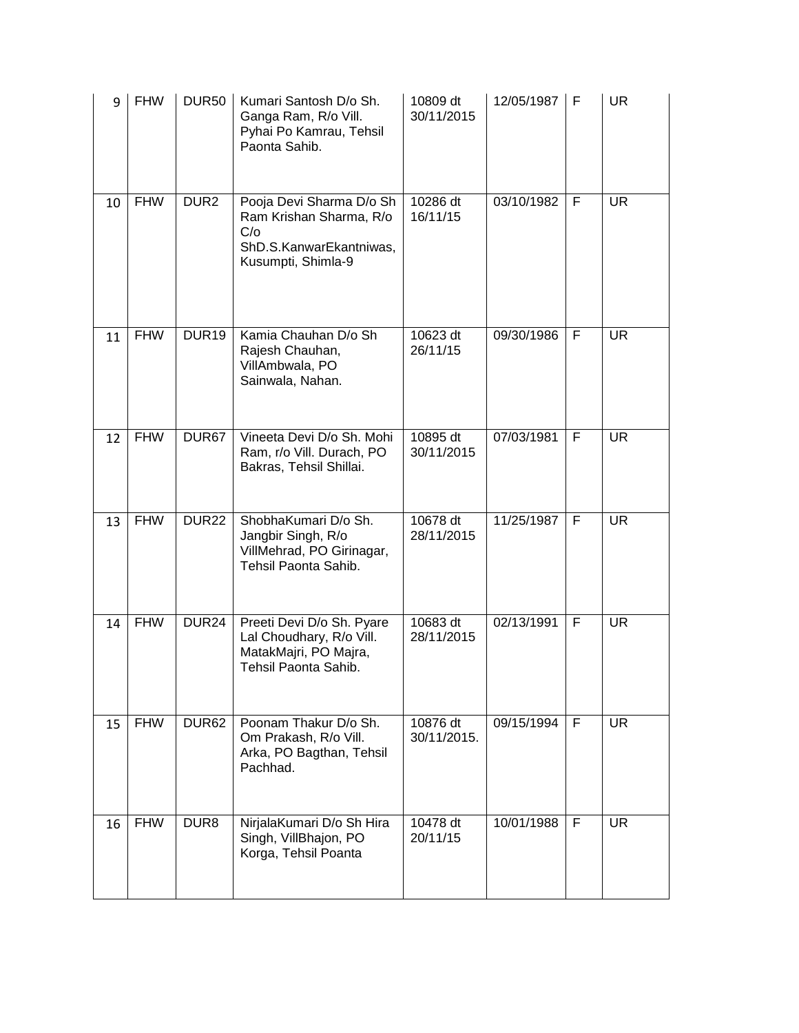| 9  | <b>FHW</b> | <b>DUR50</b>      | Kumari Santosh D/o Sh.<br>Ganga Ram, R/o Vill.<br>Pyhai Po Kamrau, Tehsil<br>Paonta Sahib.                  | 10809 dt<br>30/11/2015  | 12/05/1987 | F | UR.       |
|----|------------|-------------------|-------------------------------------------------------------------------------------------------------------|-------------------------|------------|---|-----------|
| 10 | <b>FHW</b> | DUR <sub>2</sub>  | Pooja Devi Sharma D/o Sh<br>Ram Krishan Sharma, R/o<br>C/O<br>ShD.S.KanwarEkantniwas,<br>Kusumpti, Shimla-9 | 10286 dt<br>16/11/15    | 03/10/1982 | F | <b>UR</b> |
| 11 | <b>FHW</b> | DUR <sub>19</sub> | Kamia Chauhan D/o Sh<br>Rajesh Chauhan,<br>VillAmbwala, PO<br>Sainwala, Nahan.                              | 10623 dt<br>26/11/15    | 09/30/1986 | F | <b>UR</b> |
| 12 | <b>FHW</b> | DUR <sub>67</sub> | Vineeta Devi D/o Sh. Mohi<br>Ram, r/o Vill. Durach, PO<br>Bakras, Tehsil Shillai.                           | 10895 dt<br>30/11/2015  | 07/03/1981 | F | <b>UR</b> |
| 13 | <b>FHW</b> | DUR <sub>22</sub> | ShobhaKumari D/o Sh.<br>Jangbir Singh, R/o<br>VillMehrad, PO Girinagar,<br>Tehsil Paonta Sahib.             | 10678 dt<br>28/11/2015  | 11/25/1987 | F | <b>UR</b> |
| 14 | <b>FHW</b> | DUR <sub>24</sub> | Preeti Devi D/o Sh. Pyare<br>Lal Choudhary, R/o Vill.<br>MatakMajri, PO Majra,<br>Tehsil Paonta Sahib.      | 10683 dt<br>28/11/2015  | 02/13/1991 | F | <b>UR</b> |
| 15 | <b>FHW</b> | DUR <sub>62</sub> | Poonam Thakur D/o Sh.<br>Om Prakash, R/o Vill.<br>Arka, PO Bagthan, Tehsil<br>Pachhad.                      | 10876 dt<br>30/11/2015. | 09/15/1994 | F | <b>UR</b> |
| 16 | <b>FHW</b> | DUR <sub>8</sub>  | NirjalaKumari D/o Sh Hira<br>Singh, VillBhajon, PO<br>Korga, Tehsil Poanta                                  | 10478 dt<br>20/11/15    | 10/01/1988 | F | <b>UR</b> |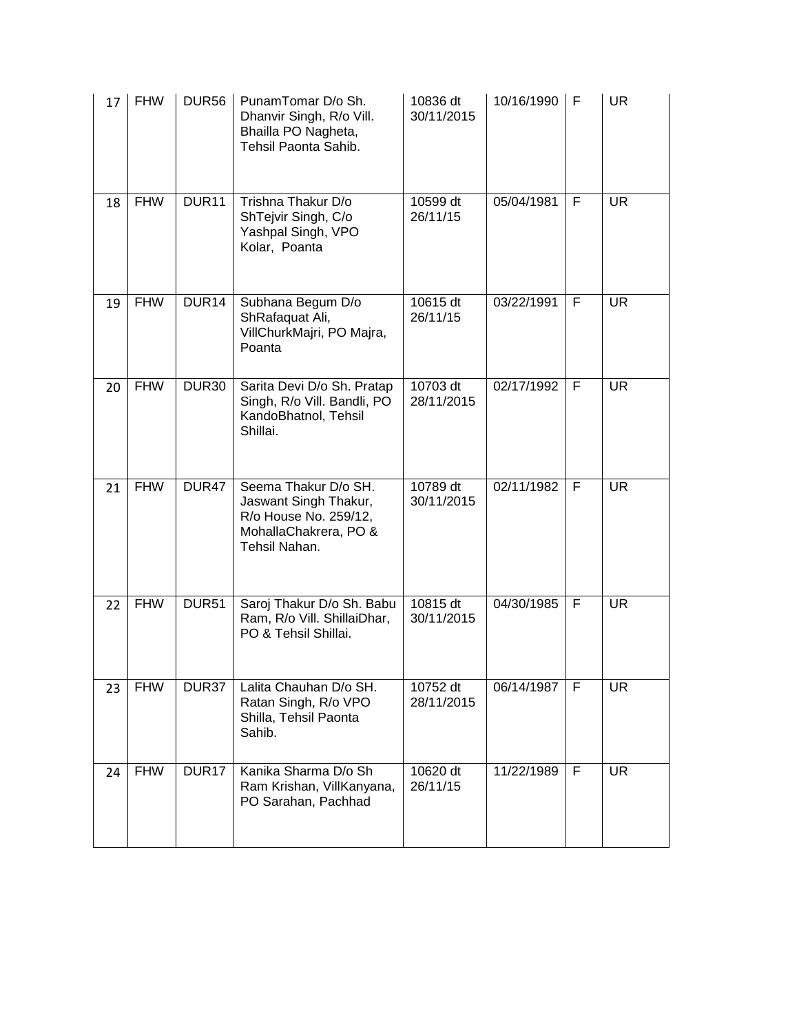| 17 | <b>FHW</b> | <b>DUR56</b>      | PunamTomar D/o Sh.<br>Dhanvir Singh, R/o Vill.<br>Bhailla PO Nagheta,<br>Tehsil Paonta Sahib.                    | 10836 dt<br>30/11/2015 | 10/16/1990 | F | <b>UR</b> |
|----|------------|-------------------|------------------------------------------------------------------------------------------------------------------|------------------------|------------|---|-----------|
| 18 | <b>FHW</b> | DUR <sub>11</sub> | Trishna Thakur D/o<br>ShTejvir Singh, C/o<br>Yashpal Singh, VPO<br>Kolar, Poanta                                 | 10599 dt<br>26/11/15   | 05/04/1981 | F | <b>UR</b> |
| 19 | <b>FHW</b> | DUR <sub>14</sub> | Subhana Begum D/o<br>ShRafaquat Ali,<br>VillChurkMajri, PO Majra,<br>Poanta                                      | 10615 dt<br>26/11/15   | 03/22/1991 | F | <b>UR</b> |
| 20 | <b>FHW</b> | DUR <sub>30</sub> | Sarita Devi D/o Sh. Pratap<br>Singh, R/o Vill. Bandli, PO<br>KandoBhatnol, Tehsil<br>Shillai.                    | 10703 dt<br>28/11/2015 | 02/17/1992 | F | <b>UR</b> |
| 21 | <b>FHW</b> | DUR47             | Seema Thakur D/o SH.<br>Jaswant Singh Thakur,<br>R/o House No. 259/12,<br>MohallaChakrera, PO &<br>Tehsil Nahan. | 10789 dt<br>30/11/2015 | 02/11/1982 | F | <b>UR</b> |
| 22 | <b>FHW</b> | DUR <sub>51</sub> | Saroj Thakur D/o Sh. Babu<br>Ram, R/o Vill. ShillaiDhar,<br>PO & Tehsil Shillai.                                 | 10815 dt<br>30/11/2015 | 04/30/1985 | F | <b>UR</b> |
| 23 | <b>FHW</b> | DUR37             | Lalita Chauhan D/o SH.<br>Ratan Singh, R/o VPO<br>Shilla, Tehsil Paonta<br>Sahib.                                | 10752 dt<br>28/11/2015 | 06/14/1987 | F | <b>UR</b> |
| 24 | <b>FHW</b> | DUR <sub>17</sub> | Kanika Sharma D/o Sh<br>Ram Krishan, VillKanyana,<br>PO Sarahan, Pachhad                                         | 10620 dt<br>26/11/15   | 11/22/1989 | F | <b>UR</b> |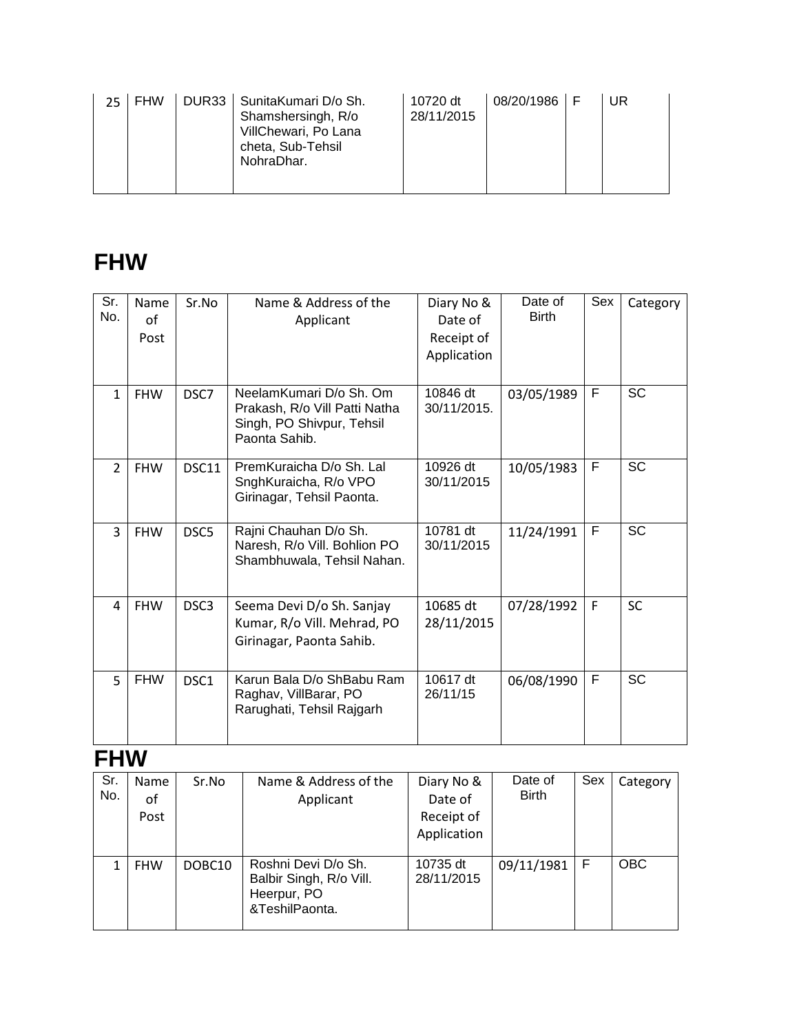| DUR33   SunitaKumari D/o Sh.<br><b>FHW</b><br>10720 dt<br>28/11/2015<br>Shamshersingh, R/o<br>VillChewari, Po Lana<br>cheta, Sub-Tehsil<br>NohraDhar. | 08/20/1986 F |  | UR |  |
|-------------------------------------------------------------------------------------------------------------------------------------------------------|--------------|--|----|--|
|-------------------------------------------------------------------------------------------------------------------------------------------------------|--------------|--|----|--|

## **FHW**

| Sr.<br>No.     | Name<br>of<br>Post | Sr.No            | Name & Address of the<br>Applicant                                                                      | Diary No &<br>Date of<br>Receipt of<br>Application | Date of<br><b>Birth</b> | Sex          | Category  |
|----------------|--------------------|------------------|---------------------------------------------------------------------------------------------------------|----------------------------------------------------|-------------------------|--------------|-----------|
| $\mathbf{1}$   | <b>FHW</b>         | DSC7             | NeelamKumari D/o Sh. Om.<br>Prakash, R/o Vill Patti Natha<br>Singh, PO Shivpur, Tehsil<br>Paonta Sahib. | 10846 dt<br>30/11/2015.                            | 03/05/1989              | F            | <b>SC</b> |
| $\overline{2}$ | <b>FHW</b>         | DSC11            | PremKuraicha D/o Sh. Lal<br>SnghKuraicha, R/o VPO<br>Girinagar, Tehsil Paonta.                          | 10926 dt<br>30/11/2015                             | 10/05/1983              | F            | <b>SC</b> |
| 3              | <b>FHW</b>         | DSC5             | Rajni Chauhan D/o Sh.<br>Naresh, R/o Vill. Bohlion PO<br>Shambhuwala, Tehsil Nahan.                     | 10781 dt<br>30/11/2015                             | 11/24/1991              | F            | <b>SC</b> |
| 4              | <b>FHW</b>         | DSC <sub>3</sub> | Seema Devi D/o Sh. Sanjay<br>Kumar, R/o Vill. Mehrad, PO<br>Girinagar, Paonta Sahib.                    | 10685 dt<br>28/11/2015                             | 07/28/1992              | $\mathsf{F}$ | <b>SC</b> |
| 5              | <b>FHW</b>         | DSC <sub>1</sub> | Karun Bala D/o ShBabu Ram<br>Raghav, VillBarar, PO<br>Rarughati, Tehsil Rajgarh                         | 10617 dt<br>26/11/15                               | 06/08/1990              | F            | <b>SC</b> |

### **FHW**

| Sr.<br>No. | Name<br>of<br>Post | Sr.No  | Name & Address of the<br>Applicant                                              | Diary No &<br>Date of<br>Receipt of<br>Application | Date of<br><b>Birth</b> | Sex | Category   |
|------------|--------------------|--------|---------------------------------------------------------------------------------|----------------------------------------------------|-------------------------|-----|------------|
| 1          | <b>FHW</b>         | DOBC10 | Roshni Devi D/o Sh.<br>Balbir Singh, R/o Vill.<br>Heerpur, PO<br>&TeshilPaonta. | 10735 dt<br>28/11/2015                             | 09/11/1981              | F   | <b>OBC</b> |